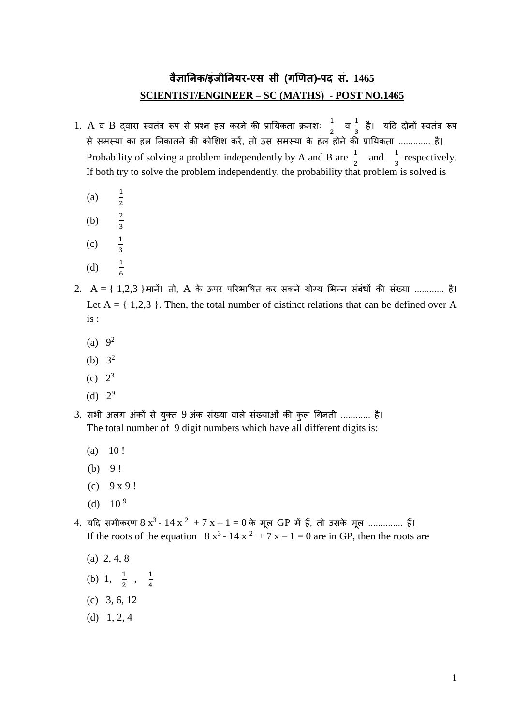## **वैज्ञानिक/इंजीनियर-एस सी (गणित)-पद सं. 1465 SCIENTIST/ENGINEER – SC (MATHS) - POST NO.1465**

- 1. A व B द्वारा स्वतंत्र रूप से प्रश्न हल करने की प्रायिकता क्रमशः  $\frac{1}{3}$  $\frac{1}{2}$  a  $\frac{1}{3}$ – है। यदि दोनों स्वतंत्र रूप<br><sup>3</sup> से समस्िा का हल यनकालने की कोशशश करें, तो उस समस्िा के हल होने की प्रायिकता ............. है। Probability of solving a problem independently by A and B are  $\frac{1}{2}$  and  $\frac{1}{3}$  respectively. If both try to solve the problem independently, the probability that problem is solved is
	- $(a)$

 $\frac{1}{2}$ 

- $(b)$
- $\frac{2}{3}$  $(c)$  $rac{1}{3}$
- 
- (d) <sup>1</sup>  $\frac{1}{6}$
- 2.  $A = \{ 1,2,3 \}$ मानें। तो, A के ऊपर परिभाषित कर सकने योग्य भिन्न संबंधों की संख्या ............ है। Let  $A = \{ 1,2,3 \}$ . Then, the total number of distinct relations that can be defined over A is :
	- (a)  $9^2$
	- (b)  $3^2$
	- (c)  $2^3$
	- (d)  $2^9$
- 3. सभी अलग अंकों से युक्त 9 अंक संख्या वाले संख्याओं की कुल गिनती ............ है। The total number of 9 digit numbers which have all different digits is:
	- $(a) 10!$
	- (b) 9 !
	- $(c)$  9 x 9!
	- (d)  $10^9$
- 4. यदि समीकरण  $8 \text{ x}^3$   $14 \text{ x}$   $^2$  +  $7 \text{ x}$   $1$   $=$   $0$  के मूल GP में हैं, तो उसके मूल ............... हैं। If the roots of the equation  $8x^3 - 14x^2 + 7x - 1 = 0$  are in GP, then the roots are
	- (a) 2, 4, 8
	- (b) 1,  $\frac{1}{2}$ ,  $\frac{1}{4}$ 4
	- (c) 3, 6, 12
	- (d) 1, 2, 4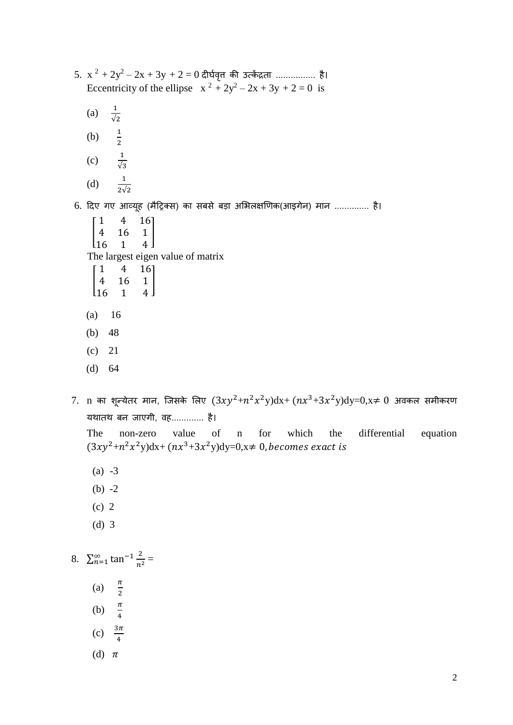- $5. \, x^2 + 2y^2 2x + 3y + 2 = 0$  दीर्घवृत्त की उत्केंद्रता .................. है। Eccentricity of the ellipse  $x^2 + 2y^2 - 2x + 3y + 2 = 0$  is
	- $(a)$  $\frac{1}{\sqrt{2}}$
	- (b) <sup>1</sup>  $\frac{1}{2}$
	- (c) 1 √3
	- (d)  $\frac{1}{2\sqrt{2}}$

6. दिए गए आव्यूह (मैट्रिक्स) का सबसे बड़ा अभिलक्षणिक(आइगेन) मान .............. है।

- $\blacksquare$ 1 4 16 4 16 1  $\begin{bmatrix} 16 & 1 & 4 \end{bmatrix}$ ] The largest eigen value of matrix
- [  $1 \t 4 \t 161$  $\begin{vmatrix} 4 & 16 & 1 \\ 16 & 1 & 4 \end{vmatrix}$  $1 \quad 4$ ]
- (a) 16
- (b) 48
- (c) 21
- (d) 64
- $7.$   $\,$ n का शून्येतर मान, जिसके लिए  $(3xy^2+n^2x^2y)dx+ (nx^3+3x^2y)dy=0, x\neq 0$  अवकल समीकरण यथातथ बन जाएगी, वह............. है।

The non-zero value of n for which the differential equation  $(3xy^{2}+n^{2}x^{2}y)dx + (nx^{3}+3x^{2}y)dy=0, x\neq 0$ , becomes exact is

- (a) -3
- (b)  $-2$
- (c) 2
- (d) 3

8.  $\sum_{n=1}^{\infty} \tan^{-1} \frac{2}{n^2}$  $n<sup>2</sup>$  $\sum_{n=1}^{\infty} \tan^{-1} \frac{2}{n^2} =$ 

- (a)  $\frac{\pi}{2}$
- 
- (b)  $\frac{\pi}{4}$
- (c)  $3\pi$ 4
- (d)  $\pi$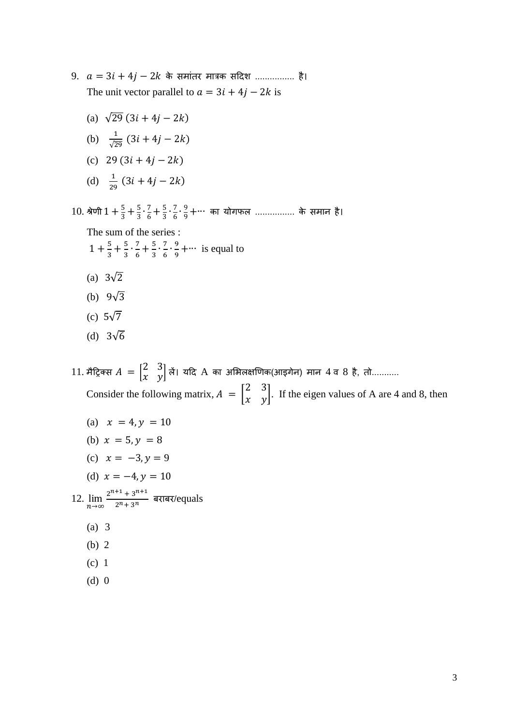- $9. a = 3i + 4j 2k$  के समांतर मात्रक सदिश ................. है। The unit vector parallel to  $a = 3i + 4j - 2k$  is
	- (a)  $\sqrt{29}$  (3*i* + 4*i* 2*k*)
	- (b)  $\frac{1}{\sqrt{2}}$  $\frac{1}{\sqrt{29}}(3i + 4j - 2k)$
	- (c) 29  $(3i + 4j 2k)$
	- (d)  $\frac{1}{29}$   $(3i + 4j 2k)$
- 10. श्रेणी  $1 + \frac{5}{3}$  $\frac{5}{3} + \frac{5}{3}$  $rac{5}{3}$ .  $rac{7}{6}$  $\frac{7}{6} + \frac{5}{3}$  $rac{5}{3} \cdot \frac{7}{6}$  $\frac{7}{6} \cdot \frac{9}{9}$  $\frac{9}{9}+$ ··· का योगफल ................. के समान है।

The sum of the series :  $1 + \frac{5}{3}$  $\frac{5}{3} + \frac{5}{3}$  $\frac{5}{3} \cdot \frac{7}{6}$  $\frac{7}{6} + \frac{5}{3}$  $\frac{5}{3} \cdot \frac{7}{6}$  $\frac{7}{6} \cdot \frac{9}{9}$  $\frac{9}{9}$  +… is equal to

- (a)  $3\sqrt{2}$
- (b)  $9\sqrt{3}$
- (c) 5√7
- (d) 3√6

11. मैट्रिक्स  $A = \begin{bmatrix} 2 & 3 \\ 2 & 3 \end{bmatrix}$  $\begin{bmatrix} 2 & 3 \ \chi & \gamma \end{bmatrix}$ लें। यदि  ${\rm A}$  का अभिलक्षणिक(आइगेन) मान  $4$  व  $8$  है, तो........... Consider the following matrix,  $A = \begin{bmatrix} 2 & 3 \\ x & y \end{bmatrix}$  $\begin{bmatrix} 2 & 3 \\ x & y \end{bmatrix}$ . If the eigen values of A are 4 and 8, then

- (a)  $x = 4, y = 10$
- (b)  $x = 5, y = 8$
- (c)  $x = -3, y = 9$
- (d)  $x = -4, y = 10$

12.  $\lim_{n\to\infty} \frac{2^{n+1} + 3^{n+1}}{2^n + 3^n}$  $\frac{+3}{2^n+3^n}$  बराबर/equals

- (a) 3
- (b) 2
- (c) 1
- (d) 0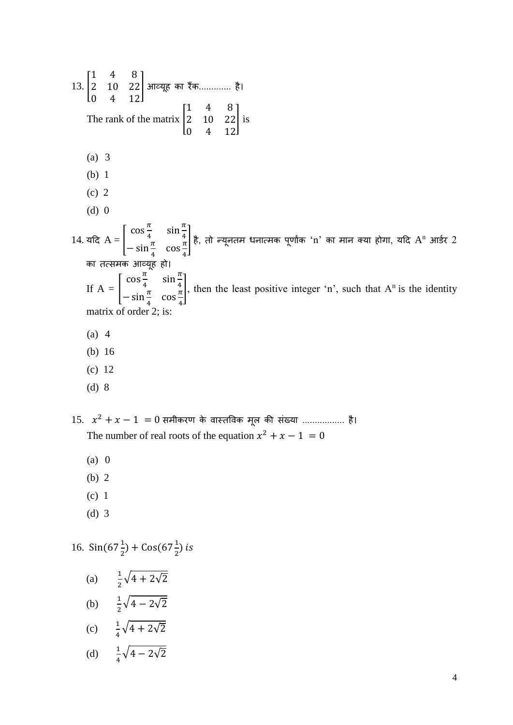13. [ 1 4 8 2 10 22 0 4 12 |आव्यूह का रैंक............. है। The rank of the matrix | 1 4 8 2 10 22 0 4 12 ] is (a) 3 (b) 1 (c) 2  $(d)$  0 14. यदि  $A = |$  $\cos \frac{\pi}{4}$  $\frac{\pi}{4}$  sin $\frac{\pi}{4}$  $-\sin\frac{\pi}{4}$   $\cos\frac{\pi}{4}$ 4  $|$  है, तो न्यूनतम धनात्मक पूर्णांक 'n' का मान क्या होगा, यदि A<sup>n</sup> आर्डर 2 का तत्समक आव्यूह हो। If  $A =$  $\cos \frac{\pi}{4}$  $\frac{\pi}{4}$  sin  $\frac{\pi}{4}$  $-\sin\frac{\pi}{4}$   $\cos\frac{\pi}{4}$ 4 , then the least positive integer 'n', such that  $A<sup>n</sup>$  is the identity matrix of order 2; is: (a) 4 (b) 16 (c) 12 (d) 8

15.  $x^2 + x - 1 = 0$  समीकरण के वास्तविक मूल की संख्या .................. है। The number of real roots of the equation  $x^2 + x - 1 = 0$ 

- (a) 0
- (b) 2
- (c) 1
- (d) 3

16.  $\sin(67\frac{1}{2}) + \cos(67\frac{1}{2})$  is

(a)  $\frac{1}{2}\sqrt{4+2\sqrt{2}}$ (b)  $\frac{1}{2}\sqrt{4-2\sqrt{2}}$ 

$$
(c) \qquad \frac{1}{4}\sqrt{4+2\sqrt{2}}
$$

(d) 
$$
\frac{1}{4}\sqrt{4-2\sqrt{2}}
$$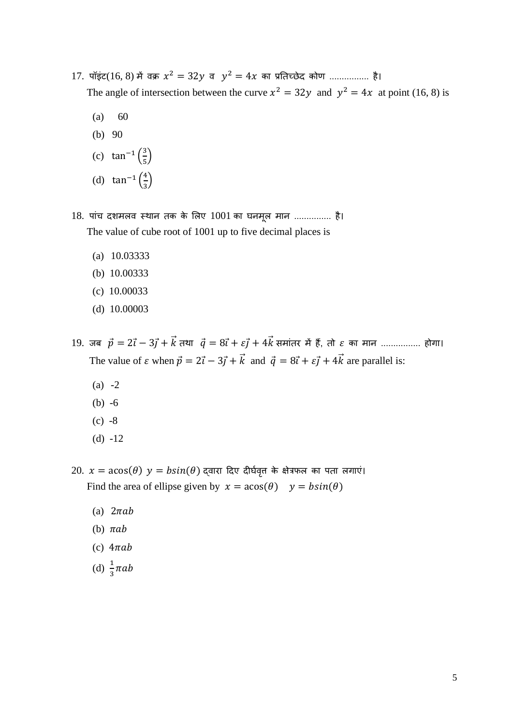- 17. पॉइंट $(16, 8)$  में वक्र  $x^2 = 32y$  व  $y^2 = 4x$  का प्रतिच्छेद कोण ................. है। The angle of intersection between the curve  $x^2 = 32y$  and  $y^2 = 4x$  at point (16, 8) is
	- $(a) 60$
	- (b) 90
	- (c) tan<sup>-1</sup>  $\left(\frac{3}{5}\right)$  $\frac{5}{5}$
	- (d) tan<sup>-1</sup>  $\left(\frac{4}{3}\right)$  $\frac{1}{3}$

18. पांच दशमलव स्थान तक के लिए 1001 का घनमूल मान ............... है। The value of cube root of 1001 up to five decimal places is

- (a) 10.03333
- (b) 10.00333
- (c) 10.00033
- (d) 10.00003

19. जब  $\vec{p} = 2\vec{i} - 3\vec{j} + \vec{k}$  तथा  $\vec{q} = 8\vec{i} + \varepsilon \vec{j} + 4\vec{k}$  समांतर में हैं, तो  $\varepsilon$  का मान ................. होगा। The value of  $\varepsilon$  when  $\vec{p} = 2\vec{i} - 3\vec{j} + \vec{k}$  and  $\vec{q} = 8\vec{i} + \varepsilon \vec{j} + 4\vec{k}$  are parallel is:

- $(a) -2$
- (b) -6
- $(c) -8$
- (d) -12

20.  $x = a\cos(\theta)$   $y = b\sin(\theta)$  द्वारा दिए दीर्घवृत के क्षेत्रफल का पता लगाएं। Find the area of ellipse given by  $x = a\cos(\theta)$   $y = b\sin(\theta)$ 

- (a)  $2\pi ab$
- (b)  $\pi ab$
- (c)  $4\pi ab$
- (d)  $\frac{1}{3} \pi ab$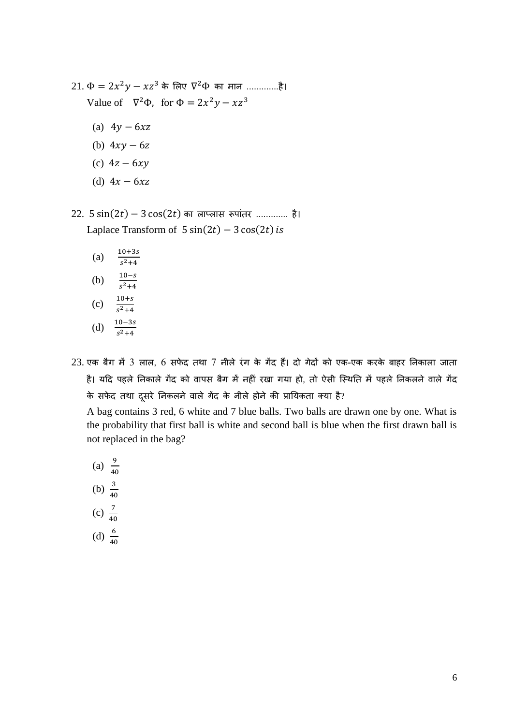- $21. \Phi = 2x^2y xz^3$  के लिए  $\nabla^2\Phi$  का मान ..............है। Value of  $\nabla^2 \Phi$ , for  $\Phi = 2x^2y - xz^3$ 
	- (a)  $4y 6xz$
	- (b)  $4xy 6z$
	- (c)  $4z 6xy$
	- (d)  $4x 6xz$

 $22. 5 \sin(2t) - 3 \cos(2t)$  का लाप्लास रूपांतर ............. है। Laplace Transform of  $5 \sin(2t) - 3 \cos(2t)$  is

| (a) | $10 + 3s$              |
|-----|------------------------|
|     | $s^2 + 4$              |
| (b) | $10 - s$<br>$s^2 + 4$  |
| (c) | 10+s<br>$s^2 + 4$      |
| (d) | $10 - 3s$<br>$s^2 + 4$ |

 $23$ . एक बैग में 3 लाल, 6 सफेद तथा 7 नीले रंग के गेंद हैं। दो गेदों को एक-एक करके बाहर निकाला जाता है। यदि पहले निकाले गेंद को वापस बैग में नहीं रखा गया हो, तो ऐसी स्थिति में पहले निकलने वाले गेंद के सफेद तथा दूसरे निकलने वाले गेंद के नीले होने की प्रायिकता क्या है?

A bag contains 3 red, 6 white and 7 blue balls. Two balls are drawn one by one. What is the probability that first ball is white and second ball is blue when the first drawn ball is not replaced in the bag?

- (a)  $\frac{9}{40}$
- (b)  $\frac{3}{40}$
- 
- (c)  $\frac{7}{40}$
- (d)  $\frac{6}{40}$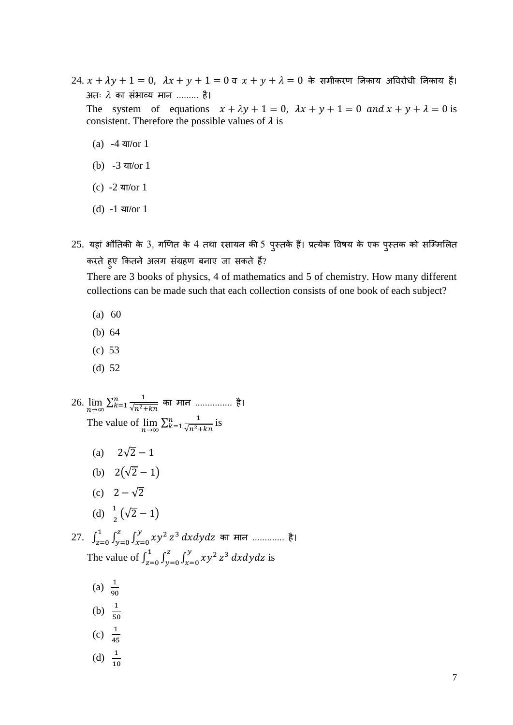$24. x + \lambda y + 1 = 0$ ,  $\lambda x + y + 1 = 0$  व  $x + y + \lambda = 0$  के समीकरण निकाय अविरोधी निकाय हैं। अतः  $\lambda$  का संभाव्य मान ......... है।

The system of equations  $x + \lambda y + 1 = 0$ ,  $\lambda x + y + 1 = 0$  and  $x + y + \lambda = 0$  is consistent. Therefore the possible values of  $\lambda$  is

- $(a) -4$  या/or 1
- $(b) -3$  या/or 1
- (c)  $-2 \pi / \text{or} 1$
- $(d) -1$  या/or 1
- 25. यहां भौतिकी के 3, गणित के 4 तथा रसायन की 5 पुस्तकें हैं। प्रत्येक विषय के एक पुस्तक को सम्मिलित करते हुए कितने अलग संग्रहण बनाए जा सकते हैं?

There are 3 books of physics, 4 of mathematics and 5 of chemistry. How many different collections can be made such that each collection consists of one book of each subject?

- (a) 60
- (b) 64
- (c) 53
- (d) 52

26.  $\lim_{n \to \infty} \sum_{k=1}^{n} \frac{1}{\sqrt{n^2+1}}$  $\sqrt{n^2+kn}$  $\frac{n}{k\text{=1}} \frac{1}{\sqrt{n^2\text{+}kn}}$  का मान ............... है। The value of  $\lim_{n \to \infty} \sum_{k=1}^{n} \frac{1}{\sqrt{n^2}}$ .  $\sqrt{n^2+kn}$  $\frac{n}{k+1} \frac{1}{\sqrt{n^2 + kn}}$  is

- (a)  $2\sqrt{2} 1$
- (b)  $2(\sqrt{2}-1)$
- (c)  $2 \sqrt{2}$
- (d)  $\frac{1}{2}(\sqrt{2}-1)$

27.  $\int_{z=0}^{1} \int_{y=0}^{z} \int_{y=0}^{y} xy^{2}$  $x=0$ Z  $y=0$ 1  $\int_{z=0}^{1}\int_{y=0}^{z}\int_{x=0}^{y}xy^{2}\,z^{3}\,dxdydz$  का मान ............. है। The value of  $\int_{0}^{1} \int_{1}^{z} \int_{1}^{y} xy^{2} dy$  $x=0$ z  $y=0$ 1  $\int_{z=0}^{1} \int_{y=0}^{z} \int_{x=0}^{y} xy^{2} z^{3} dx dy dz$  is

(a)  $\frac{1}{90}$ (b)  $\frac{1}{50}$ (c)  $\frac{1}{45}$ 

(d)  $\frac{1}{10}$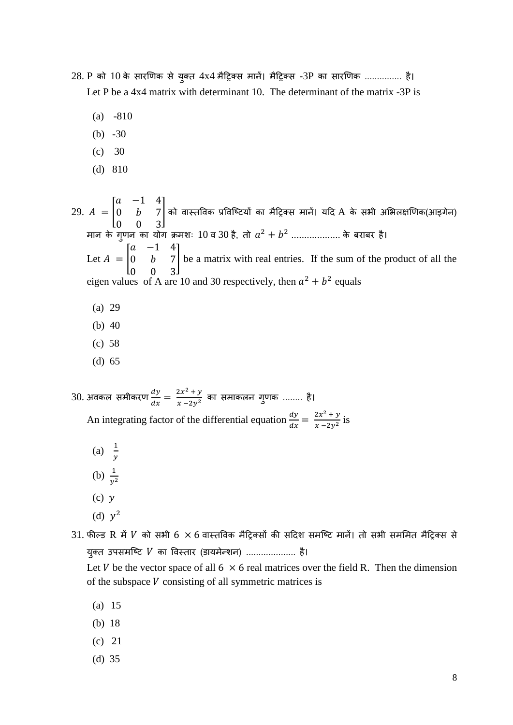- 28. P को 10 के सारणिक से युक्त 4x4 मैट्रिक्स मानें। मैट्रिक्स -3P का सारणिक ............... है। Let P be a 4x4 matrix with determinant 10. The determinant of the matrix -3P is
	- (a) -810
	- (b)  $-30$
	- (c) 30
	- (d) 810

29.  $A = |$  $a -1 4$  $0$   $b$  7 0 0 3  $|$ को वास्तविक प्रविष्टियों का मैट्रिक्स मानें। यदि A के सभी अभिलक्षणिक(आइगेन) मान के गुणन का योग क्रमशः  $10$  व  $30$  है, तो  $a^2 + b^2$  .................... के बराबर है। Let  $A = |$  $a -1 4$  $0$   $b$  7 0 0 3 ] be a matrix with real entries. If the sum of the product of all the eigen values of A are 10 and 30 respectively, then  $a^2 + b^2$  equals

- (a) 29
- (b) 40
- (c) 58
- (d) 65

30. अवकल समीकरण  $\frac{dy}{dx} = \frac{2x^2 + y}{x - 2y^2}$  $\frac{22}{x-2y^2}$  का समाकलन गुणक ........ है। An integrating factor of the differential equation  $\frac{dy}{dx} = \frac{2x^2 + y}{x - 2y^2}$  $\frac{2x+ y}{x-2y^2}$  is

- (a)  $\frac{1}{y}$
- 
- (b)  $\frac{1}{y^2}$
- $(c)$   $y$
- (d)  $y^2$

 $31.$  फील्ड R में  $V$  को सभी 6  $\times$  6 वास्तविक मैट्रिक्सों की सदिश समष्टि मानें। तो सभी सममित मैट्रिक्स से युक्त उपसमष्टि V का विस्तार (डायमेन्शन) .................... है।

Let V be the vector space of all  $6 \times 6$  real matrices over the field R. Then the dimension of the subspace  $V$  consisting of all symmetric matrices is

- (a) 15
- (b) 18
- (c) 21
- (d) 35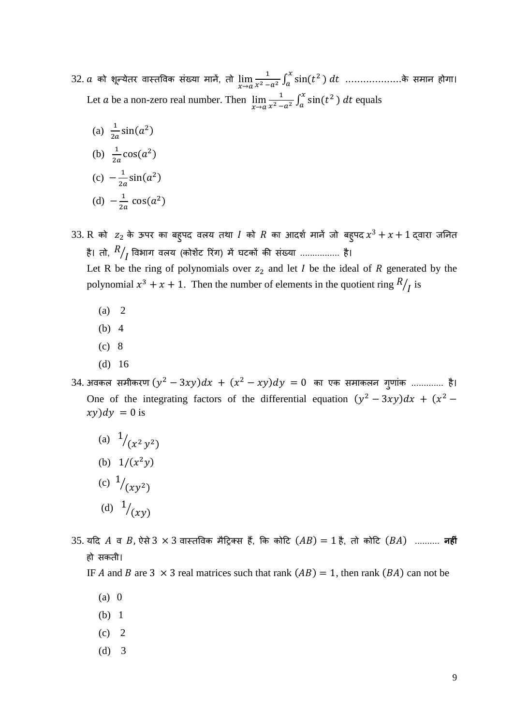$32$ .  $a$  को शून्येतर वास्तविक संख्या मानें, तो  $\lim\limits_{x\to a}\frac{1}{x^2-1}$  $\frac{1}{x^2-a^2}\int_a^x\sin(t^2)\;dt\;\;..............$ के समान होगा। Let *a* be a non-zero real number. Then  $\lim_{x \to a} \frac{1}{x^2 - 1}$  $\frac{1}{x^2-a^2}\int_a^x \sin(t^2\,) \, dt$  equals

(a) 
$$
\frac{1}{2a} \sin(a^2)
$$
  
\n(b)  $\frac{1}{2a} \cos(a^2)$   
\n(c)  $-\frac{1}{2a} \sin(a^2)$   
\n(d)  $-\frac{1}{2a} \cos(a^2)$ 

- 33. R को  $\,$   $z_{2}$  के ऊपर का बहुपद वलय तथा  $I$  को  $R$  का आदर्श मानें जो बहुपद $\,x^{3} + x + 1\,$ द्वारा जनित है। तो,  $R\big/ \overline{I}$  विभाग वलय (कोशेंट रिंग) में घटकों की संख्या ................ है। Let R be the ring of polynomials over  $z_2$  and let I be the ideal of R generated by the polynomial  $x^3 + x + 1$ . Then the number of elements in the quotient ring  $R / I$  is
	- (a) 2
	- (b) 4
	- (c) 8
	- (d) 16
- $34$ . अवकल समीकरण  $(y^2-3xy)dx \, + \, (x^2-xy)dy \, = 0 \,$  का एक समाकलन गुणांक ............... है। One of the integrating factors of the differential equation  $(y^2 - 3xy)dx + (x^2 - 1)dx$  $xy)dy = 0$  is
	- (a)  $\frac{1}{(x^2 y^2)}$ (b)  $1/(x^2y)$ (c)  $\frac{1}{(xy^2)}$ (d)  $1/(xy)$
- 35. यदि A व B, ऐसे 3 × 3 वास्तविक मैट्रिक्स हैं, कि कोटि  $(AB) = 1$  है, तो कोटि  $(BA)$  .......... **नहीं** हो सकती।
	- IF A and B are 3  $\times$  3 real matrices such that rank  $(AB) = 1$ , then rank  $(BA)$  can not be
		- (a) 0
		- (b) 1
		- $(c)$  2
		- (d) 3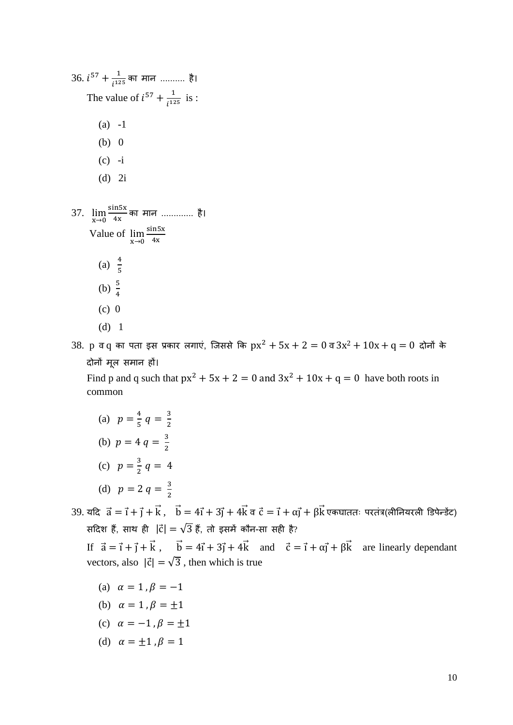| $36. i^{57} + \frac{1}{i^{125}}$ का मान  है।                                                      |
|---------------------------------------------------------------------------------------------------|
| The value of $i^{57} + \frac{1}{i^{125}}$ is :                                                    |
| $(a) -1$                                                                                          |
| (b) 0                                                                                             |
| $(c) -i$                                                                                          |
| $(d)$ 2i                                                                                          |
| 37. $\lim_{x\to 0} \frac{\sin 5x}{4x}$ का मान  है।<br>Value of $\lim_{x\to 0} \frac{\sin 5x}{4x}$ |
| (a) $\frac{4}{5}$                                                                                 |
| (b) $\frac{5}{4}$                                                                                 |
| $(c)$ 0                                                                                           |
| $(d)$ 1                                                                                           |

 $38.$   $p$  व $q$  का पता इस प्रकार लगाएं, जिससे कि  $px^2 + 5x + 2 = 0$  व $3x^2 + 10x + q = 0$  दोनों के िोनों मूल समान हों।

Find p and q such that  $px^2 + 5x + 2 = 0$  and  $3x^2 + 10x + q = 0$  have both roots in common

(a)  $p = \frac{4}{5}$  $\frac{4}{5}$   $q = \frac{3}{2}$ 2 (b)  $p = 4 q = \frac{3}{2}$ 2 (c)  $p = \frac{3}{2}$  $\frac{3}{2}$   $q = 4$ (d)  $p = 2 q = \frac{3}{2}$ 2

 $39.$  यदि  $\vec{a} = \vec{i} + \vec{j} + \vec{k}$ ,  $\vec{b} = 4\vec{i} + 3\vec{j} + 4\vec{k}$ व  $\vec{c} = \vec{i} + \alpha\vec{j} + \beta\vec{k}$  एकघाततः परतंत्र(लीनियरली डिपेन्डेंट) सदिश हैं, साथ ही |c̈ं| =  $\sqrt{3}$  हैं, तो इसमें कौन-सा सही है?

If  $\vec{a} = \vec{i} + \vec{j} + \vec{k}$ ,  $\vec{b} = 4\vec{i} + 3\vec{j} + 4\vec{k}$  and  $\vec{c} = \vec{i} + \alpha\vec{j} + \beta\vec{k}$  are linearly dependant vectors, also  $|\vec{c}| = \sqrt{3}$ , then which is true

- (a)  $\alpha = 1, \beta = -1$
- (b)  $\alpha = 1$ ,  $\beta = \pm 1$
- (c)  $\alpha = -1, \beta = \pm 1$
- (d)  $\alpha = \pm 1$ ,  $\beta = 1$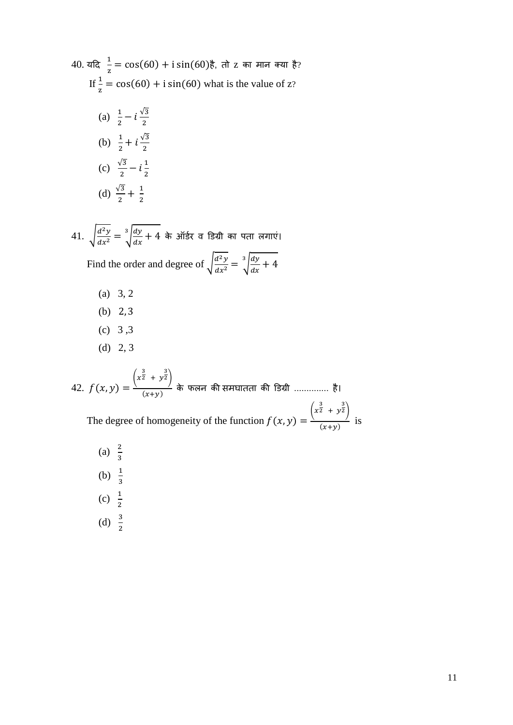40. 
$$
\overline{a} = \frac{1}{z} = \cos(60) + i \sin(60) \overline{b}
$$
,  $\overline{d} = \overline{c}$  and  $\overline{b} = \frac{1}{z} = \cos(60) + i \sin(60)$  what is the value of  $z$ ?  
\n(a)  $\frac{1}{2} - i \frac{\sqrt{3}}{2}$   
\n(b)  $\frac{1}{2} + i \frac{\sqrt{3}}{2}$   
\n(c)  $\frac{\sqrt{3}}{2} - i \frac{1}{2}$   
\n(d)  $\frac{\sqrt{3}}{2} + \frac{1}{2}$ 

41.  $\int \frac{d^2y}{dx^2}$  $\frac{d^2y}{dx^2} = \sqrt[3]{\frac{dy}{dx}}$  $\sqrt{\frac{dy}{dx}} + 4$  के ऑर्डर व डिग्री का पता लगाएं। Find the order and degree of  $\int \frac{d^2y}{dx^2}$  $\frac{d^2y}{dx^2} = \sqrt[3]{\frac{dy}{dx}}$  $\int \frac{dy}{dx} + 4$ 

- (a) 3, 2
- (b) 2, 3
- (c) 3 ,3
- (d) 2, 3

42.  $f(x, y) =$  $\left(x^{\frac{3}{2}} + y^{\frac{3}{2}}\right)$  $\overline{\phantom{a}}^{(x+y)}$  के फलन की समघातता की डिग्री .............. है। The degree of homogeneity of the function  $f(x, y) =$  $\left(x^{\frac{3}{2}} + y^{\frac{3}{2}}\right)$  $\frac{y}{(x+y)}$  is (a)  $\frac{2}{3}$ 

(b)  $\frac{1}{3}$ (c)  $\frac{1}{2}$ (d)  $\frac{3}{2}$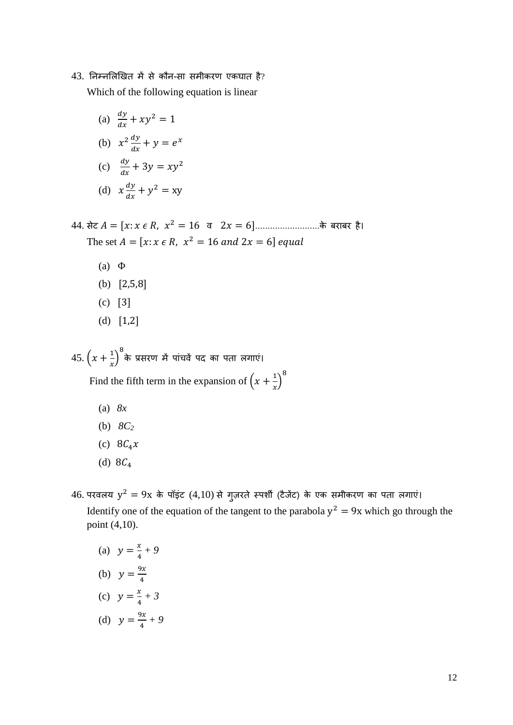## $43.$  निम्नलिखित में से कौन-सा समीकरण एकघात है?

Which of the following equation is linear

- (a)  $\frac{dy}{dx} + xy^2 = 1$ (b)  $x^2 \frac{dy}{dx}$  $\frac{dy}{dx} + y = e^x$ (c)  $\frac{dy}{dx} + 3y = xy^2$ (d)  $x \frac{dy}{dx}$  $\frac{dy}{dx} + y^2 = xy$
- $44.$  सेट  $A = [x: x \in R, x^2 = 16 \quad a \quad 2x = 6]$ ........................के बराबर है। The set  $A = [x : x \in R, x^2 = 16 \text{ and } 2x = 6]$  equal
	- (a) Φ
	- (b) [2,5,8]
	- (c) [3]
	- (d) [1,2]

45.  $(x + \frac{1}{x})$  $\left(\frac{1}{x}\right)^8$ के प्रसरण में पांचवें पद का पता लगाएं।

Find the fifth term in the expansion of  $\left(x + \frac{1}{x}\right)$  $\left(\frac{1}{x}\right)^8$ 

- (a) *8x*
- (b) *8C<sup>2</sup>*
- (c)  $8C_4x$
- (d)  $8C_4$
- 46. परवलय  $y^2 = 9x$  के पॉइंट  $(4,10)$  से गुज़रते स्पर्शी (टैजेंट) के एक समीकरण का पता लगाएं। Identify one of the equation of the tangent to the parabola  $y^2 = 9x$  which go through the point (4,10).
	- (a)  $y = \frac{x}{4}$  $\frac{x}{4} + 9$
	- (b)  $y = \frac{9x}{4}$ 4
	- (c)  $y = \frac{x}{4}$  $\frac{x}{4} + 3$
	- (d)  $y = \frac{9x}{4}$  $\frac{3x}{4} + 9$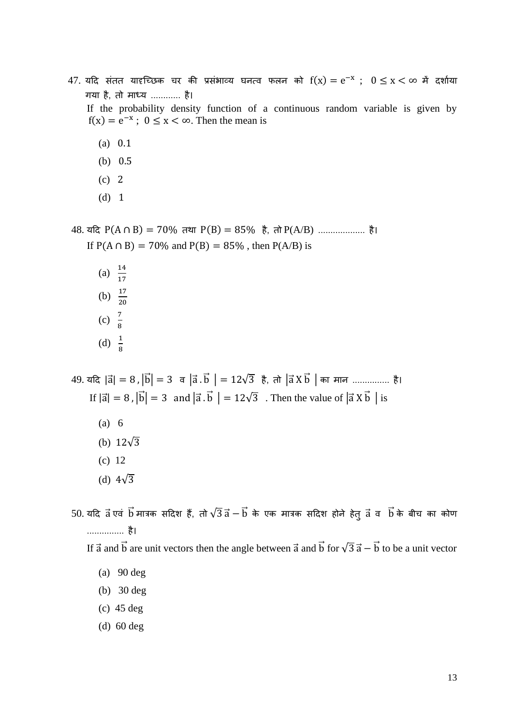- 47. यदि संतत यादच्छिक चर की प्रसंभाव्य घनत्व फलन को  $f(x) = e^{-x}$  ;  $0 \le x < \infty$  में दर्शाया गया है, तो माध्य ............ है। If the probability density function of a continuous random variable is given by  $f(x) = e^{-x}$ ;  $0 \le x < \infty$ . Then the mean is
	- (a) 0.1
	- (b) 0.5
	- (c) 2
	- (d) 1

48. यदि P(A ∩ B) = 70% तथा P(B) = 85% है, तो P(A/B) ...................... है। If  $P(A \cap B) = 70\%$  and  $P(B) = 85\%$ , then  $P(A/B)$  is

(a)  $\frac{14}{17}$ (b)  $\frac{17}{20}$ (c)  $\frac{7}{8}$ (d)  $\frac{1}{8}$ 

 $49.$  यदि |ā| = 8, |b̄| = 3 व |ā. b̄ | = 12√3 है, तो |ā X b̄ | का मान ................ है। If  $|\vec{a}| = 8$ ,  $|\vec{b}| = 3$  and  $|\vec{a} \cdot \vec{b}| = 12\sqrt{3}$ . Then the value of  $|\vec{a} \times \vec{b}|$  is

- (a) 6
- (b)  $12\sqrt{3}$
- (c) 12
- (d)  $4\sqrt{3}$

 $50$ . यदि व्रें एवं bं मात्रक सदिश हैं, तो √ $\overline{3}$  व्रें  $-\,\overrightarrow{b}$  के एक मात्रक सदिश होने हेतु व्रें व $\;\;\overrightarrow{b}$  के बीच का कोण ............... है।

If  $\vec{a}$  and  $\vec{b}$  are unit vectors then the angle between  $\vec{a}$  and  $\vec{b}$  for  $\sqrt{3}$   $\vec{a} - \vec{b}$  to be a unit vector

(a) 90 deg

- (b) 30 deg
- (c) 45 deg
- (d) 60 deg